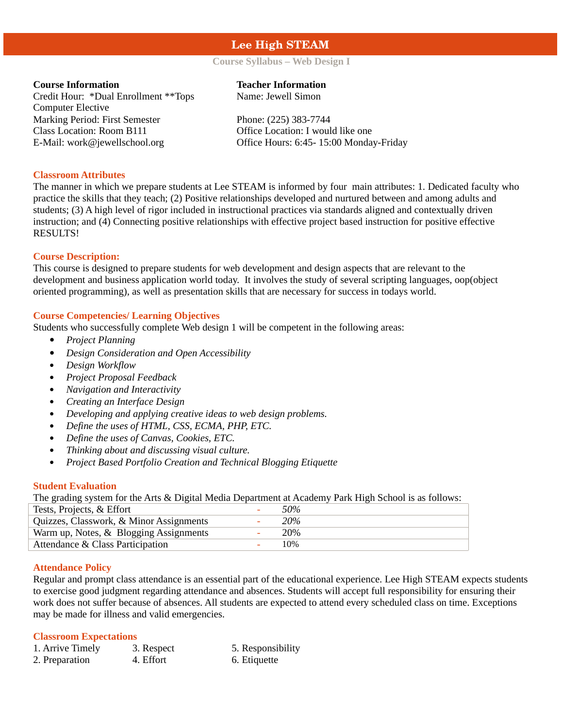# **Lee High STEAM**

# **Course Syllabus – Web Design I**

Credit Hour: \*Dual Enrollment \*\*Tops Computer Elective Marking Period: First Semester Phone: (225) 383-7744 Class Location: Room B111 Office Location: I would like one

# **Course Information Teacher Information**

Name: Jewell Simon

E-Mail: work@jewellschool.org Office Hours: 6:45- 15:00 Monday-Friday

## **Classroom Attributes**

The manner in which we prepare students at Lee STEAM is informed by four main attributes: 1. Dedicated faculty who practice the skills that they teach; (2) Positive relationships developed and nurtured between and among adults and students; (3) A high level of rigor included in instructional practices via standards aligned and contextually driven instruction; and (4) Connecting positive relationships with effective project based instruction for positive effective RESULTS!

# **Course Description:**

This course is designed to prepare students for web development and design aspects that are relevant to the development and business application world today. It involves the study of several scripting languages, oop(object oriented programming), as well as presentation skills that are necessary for success in todays world.

# **Course Competencies/ Learning Objectives**

Students who successfully complete Web design 1 will be competent in the following areas:

- *Project Planning*
- *Design Consideration and Open Accessibility*
- *Design Workflow*
- *Project Proposal Feedback*
- *Navigation and Interactivity*
- *Creating an Interface Design*
- *Developing and applying creative ideas to web design problems.*
- *Define the uses of HTML, CSS, ECMA, PHP, ETC.*
- *Define the uses of Canvas, Cookies, ETC.*
- *Thinking about and discussing visual culture.*
- *Project Based Portfolio Creation and Technical Blogging Etiquette*

# **Student Evaluation**

The grading system for the Arts & Digital Media Department at Academy Park High School is as follows:

| Tests, Projects, & Effort               | 50% |
|-----------------------------------------|-----|
| Quizzes, Classwork, & Minor Assignments | 20% |
| Warm up, Notes, & Blogging Assignments  | 20% |
| Attendance & Class Participation        | 10% |

# **Attendance Policy**

Regular and prompt class attendance is an essential part of the educational experience. Lee High STEAM expects students to exercise good judgment regarding attendance and absences. Students will accept full responsibility for ensuring their work does not suffer because of absences. All students are expected to attend every scheduled class on time. Exceptions may be made for illness and valid emergencies.

#### **Classroom Expectations**

| 1. Arrive Timely | 3. Respect | 5. Responsibility |
|------------------|------------|-------------------|
| 2. Preparation   | 4. Effort  | 6. Etiquette      |